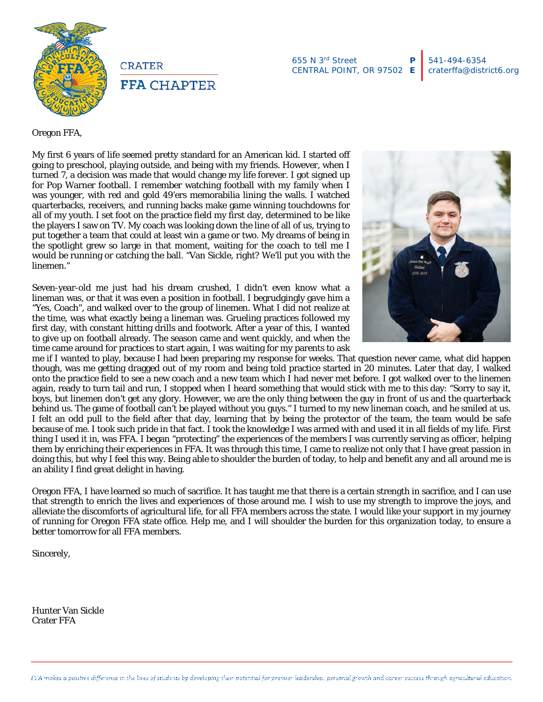

**CRATER FFA CHAPTER** 

655 N 3rd Street CENTRAL POINT, OR 97502 **P E**

Oregon FFA,

My first 6 years of life seemed pretty standard for an American kid. I started off going to preschool, playing outside, and being with my friends. However, when I turned 7, a decision was made that would change my life forever. I got signed up for Pop Warner football. I remember watching football with my family when I was younger, with red and gold 49'ers memorabilia lining the walls. I watched quarterbacks, receivers, and running backs make game winning touchdowns for all of my youth. I set foot on the practice field my first day, determined to be like the players I saw on TV. My coach was looking down the line of all of us, trying to put together a team that could at least win a game or two. My dreams of being in the spotlight grew so large in that moment, waiting for the coach to tell me I would be running or catching the ball. "Van Sickle, right? We'll put you with the linemen."

Seven-year-old me just had his dream crushed, I didn't even know what a lineman was, or that it was even a position in football. I begrudgingly gave him a "Yes, Coach", and walked over to the group of linemen. What I did not realize at the time, was what exactly being a lineman was. Grueling practices followed my first day, with constant hitting drills and footwork. After a year of this, I wanted to give up on football already. The season came and went quickly, and when the time came around for practices to start again, I was waiting for my parents to ask



me if I wanted to play, because I had been preparing my response for weeks. That question never came, what did happen though, was me getting dragged out of my room and being told practice started in 20 minutes. Later that day, I walked onto the practice field to see a new coach and a new team which I had never met before. I got walked over to the linemen again, ready to turn tail and run, I stopped when I heard something that would stick with me to this day: "Sorry to say it, boys, but linemen don't get any glory. However, we are the only thing between the guy in front of us and the quarterback behind us. The game of football can't be played without you guys." I turned to my new lineman coach, and he smiled at us. I felt an odd pull to the field after that day, learning that by being the protector of the team, the team would be safe because of me. I took such pride in that fact. I took the knowledge I was armed with and used it in all fields of my life. First thing I used it in, was FFA. I began "protecting" the experiences of the members I was currently serving as officer, helping them by enriching their experiences in FFA. It was through this time, I came to realize not only that I have great passion in doing this, but why I feel this way. Being able to shoulder the burden of today, to help and benefit any and all around me is an ability I find great delight in having.

Oregon FFA, I have learned so much of sacrifice. It has taught me that there is a certain strength in sacrifice, and I can use that strength to enrich the lives and experiences of those around me. I wish to use my strength to improve the joys, and alleviate the discomforts of agricultural life, for all FFA members across the state. I would like your support in my journey of running for Oregon FFA state office. Help me, and I will shoulder the burden for this organization today, to ensure a better tomorrow for all FFA members.

Sincerely,

Hunter Van Sickle Crater FFA